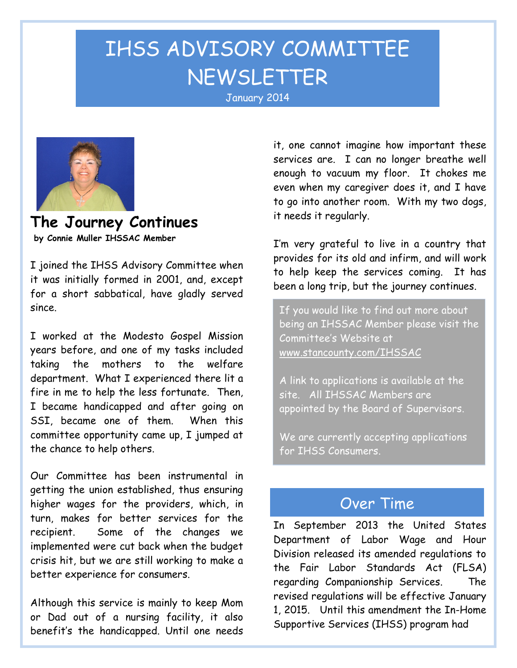# IHSS ADVISORY COMMITTEE NEWSLETTER January <sup>2014</sup>



**The Journey Continues by Connie Muller IHSSAC Member**

I joined the IHSS Advisory Committee when it was initially formed in 2001, and, except for a short sabbatical, have gladly served since.

I worked at the Modesto Gospel Mission years before, and one of my tasks included taking the mothers to the welfare department. What I experienced there lit a fire in me to help the less fortunate. Then, I became handicapped and after going on SSI, became one of them. When this committee opportunity came up, I jumped at the chance to help others.

Our Committee has been instrumental in getting the union established, thus ensuring higher wages for the providers, which, in turn, makes for better services for the recipient. Some of the changes we implemented were cut back when the budget crisis hit, but we are still working to make a better experience for consumers.

Although this service is mainly to keep Mom or Dad out of a nursing facility, it also benefit's the handicapped. Until one needs

it, one cannot imagine how important these services are. I can no longer breathe well enough to vacuum my floor. It chokes me even when my caregiver does it, and I have to go into another room. With my two dogs, it needs it regularly.

I'm very grateful to live in a country that provides for its old and infirm, and will work to help keep the services coming. It has been a long trip, but the journey continues.

If you would like to find out more about being an IHSSAC Member please visit the Committee's Website at [www.stancounty.com/IHSSAC](http://www.stancounty.com/IHSSAC)

A link to applications is available at the site. All IHSSAC Members are appointed by the Board of Supervisors.

We are currently accepting applications for IHSS Consumers.

## Over Time

In September 2013 the United States Department of Labor Wage and Hour Division released its amended regulations to the Fair Labor Standards Act (FLSA) regarding Companionship Services. The revised regulations will be effective January 1, 2015. Until this amendment the In-Home Supportive Services (IHSS) program had